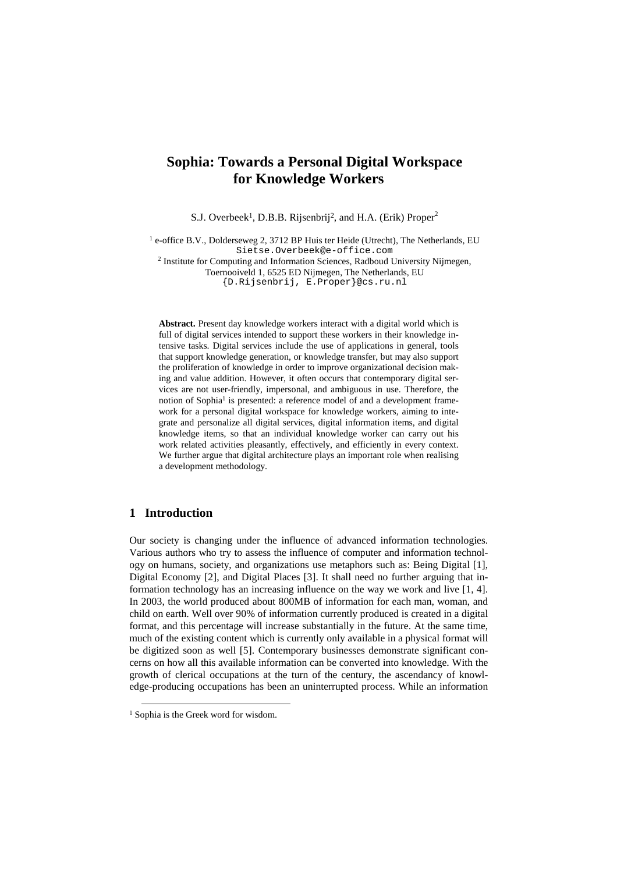# **Sophia: Towards a Personal Digital Workspace for Knowledge Workers**

S.J. Overbeek<sup>1</sup>, D.B.B. Rijsenbrij<sup>2</sup>, and H.A. (Erik) Proper<sup>2</sup>

<sup>1</sup> e-office B.V., Dolderseweg 2, 3712 BP Huis ter Heide (Utrecht), The Netherlands, EU Sietse.Overbeek@e-office.com

<sup>2</sup> Institute for Computing and Information Sciences, Radboud University Nijmegen, Toernooiveld 1, 6525 ED Nijmegen, The Netherlands, EU

{D.Rijsenbrij, E.Proper}@cs.ru.nl

**Abstract.** Present day knowledge workers interact with a digital world which is full of digital services intended to support these workers in their knowledge intensive tasks. Digital services include the use of applications in general, tools that support knowledge generation, or knowledge transfer, but may also support the proliferation of knowledge in order to improve organizational decision making and value addition. However, it often occurs that contemporary digital services are not user-friendly, impersonal, and ambiguous in use. Therefore, the notion of Sophia<sup>1</sup> is presented: a reference model of and a development framework for a personal digital workspace for knowledge workers, aiming to integrate and personalize all digital services, digital information items, and digital knowledge items, so that an individual knowledge worker can carry out his work related activities pleasantly, effectively, and efficiently in every context. We further argue that digital architecture plays an important role when realising a development methodology.

## **1 Introduction**

Our society is changing under the influence of advanced information technologies. Various authors who try to assess the influence of computer and information technology on humans, society, and organizations use metaphors such as: Being Digital [1], Digital Economy [2], and Digital Places [3]. It shall need no further arguing that information technology has an increasing influence on the way we work and live [1, 4]. In 2003, the world produced about 800MB of information for each man, woman, and child on earth. Well over 90% of information currently produced is created in a digital format, and this percentage will increase substantially in the future. At the same time, much of the existing content which is currently only available in a physical format will be digitized soon as well [5]. Contemporary businesses demonstrate significant concerns on how all this available information can be converted into knowledge. With the growth of clerical occupations at the turn of the century, the ascendancy of knowledge-producing occupations has been an uninterrupted process. While an information

<sup>&</sup>lt;sup>1</sup> Sophia is the Greek word for wisdom.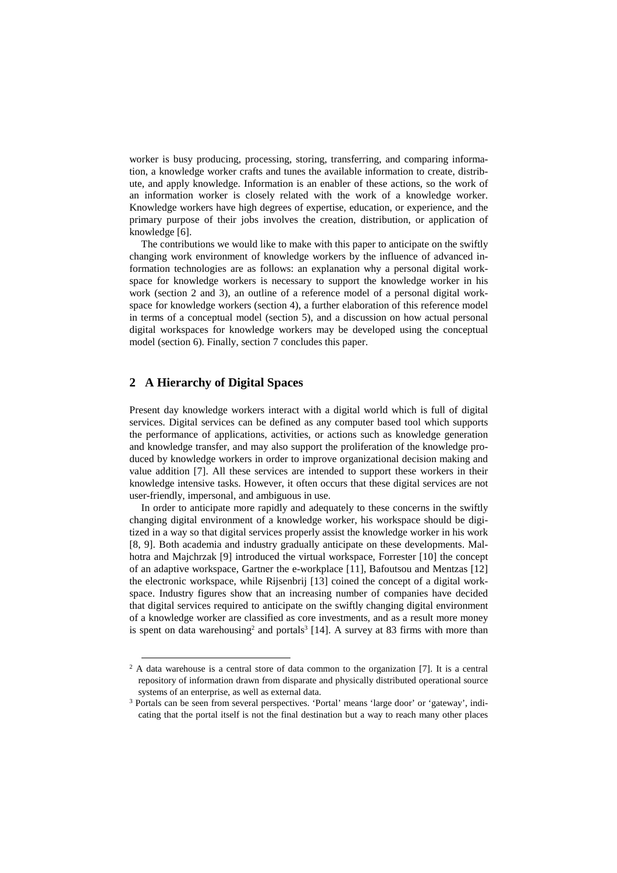worker is busy producing, processing, storing, transferring, and comparing information, a knowledge worker crafts and tunes the available information to create, distribute, and apply knowledge. Information is an enabler of these actions, so the work of an information worker is closely related with the work of a knowledge worker. Knowledge workers have high degrees of expertise, education, or experience, and the primary purpose of their jobs involves the creation, distribution, or application of knowledge [6].

The contributions we would like to make with this paper to anticipate on the swiftly changing work environment of knowledge workers by the influence of advanced information technologies are as follows: an explanation why a personal digital workspace for knowledge workers is necessary to support the knowledge worker in his work (section 2 and 3), an outline of a reference model of a personal digital workspace for knowledge workers (section 4), a further elaboration of this reference model in terms of a conceptual model (section 5), and a discussion on how actual personal digital workspaces for knowledge workers may be developed using the conceptual model (section 6). Finally, section 7 concludes this paper.

### **2 A Hierarchy of Digital Spaces**

Present day knowledge workers interact with a digital world which is full of digital services. Digital services can be defined as any computer based tool which supports the performance of applications, activities, or actions such as knowledge generation and knowledge transfer, and may also support the proliferation of the knowledge produced by knowledge workers in order to improve organizational decision making and value addition [7]. All these services are intended to support these workers in their knowledge intensive tasks. However, it often occurs that these digital services are not user-friendly, impersonal, and ambiguous in use.

In order to anticipate more rapidly and adequately to these concerns in the swiftly changing digital environment of a knowledge worker, his workspace should be digitized in a way so that digital services properly assist the knowledge worker in his work [8, 9]. Both academia and industry gradually anticipate on these developments. Malhotra and Majchrzak [9] introduced the virtual workspace, Forrester [10] the concept of an adaptive workspace, Gartner the e-workplace [11], Bafoutsou and Mentzas [12] the electronic workspace, while Rijsenbrij [13] coined the concept of a digital workspace. Industry figures show that an increasing number of companies have decided that digital services required to anticipate on the swiftly changing digital environment of a knowledge worker are classified as core investments, and as a result more money is spent on data warehousing<sup>2</sup> and portals<sup>3</sup> [14]. A survey at 83 firms with more than

<sup>&</sup>lt;sup>2</sup> A data warehouse is a central store of data common to the organization [7]. It is a central repository of information drawn from disparate and physically distributed operational source systems of an enterprise, as well as external data.

<sup>3</sup> Portals can be seen from several perspectives. 'Portal' means 'large door' or 'gateway', indicating that the portal itself is not the final destination but a way to reach many other places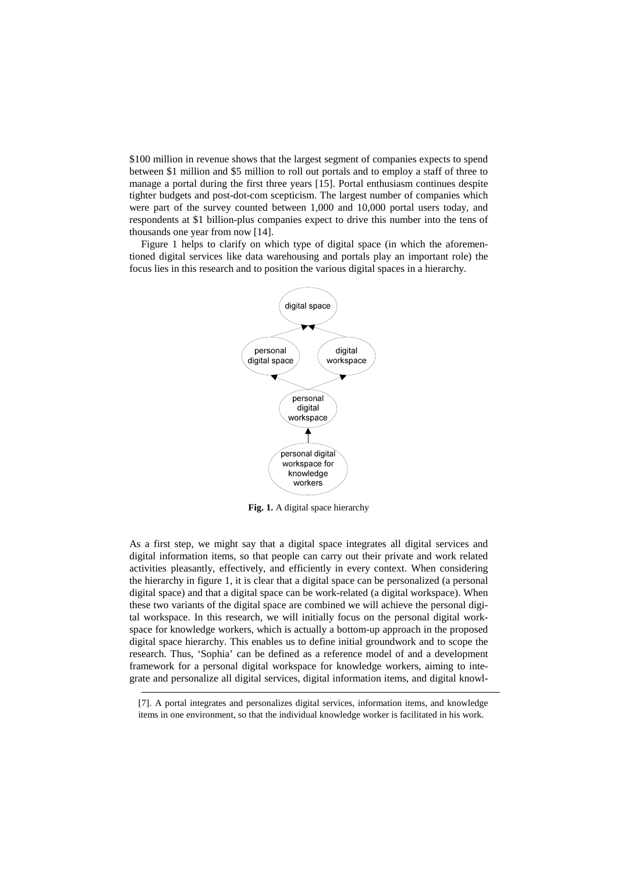\$100 million in revenue shows that the largest segment of companies expects to spend between \$1 million and \$5 million to roll out portals and to employ a staff of three to manage a portal during the first three years [15]. Portal enthusiasm continues despite tighter budgets and post-dot-com scepticism. The largest number of companies which were part of the survey counted between 1,000 and 10,000 portal users today, and respondents at \$1 billion-plus companies expect to drive this number into the tens of thousands one year from now [14].

Figure 1 helps to clarify on which type of digital space (in which the aforementioned digital services like data warehousing and portals play an important role) the focus lies in this research and to position the various digital spaces in a hierarchy.



**Fig. 1.** A digital space hierarchy

As a first step, we might say that a digital space integrates all digital services and digital information items, so that people can carry out their private and work related activities pleasantly, effectively, and efficiently in every context. When considering the hierarchy in figure 1, it is clear that a digital space can be personalized (a personal digital space) and that a digital space can be work-related (a digital workspace). When these two variants of the digital space are combined we will achieve the personal digital workspace. In this research, we will initially focus on the personal digital workspace for knowledge workers, which is actually a bottom-up approach in the proposed digital space hierarchy. This enables us to define initial groundwork and to scope the research. Thus, 'Sophia' can be defined as a reference model of and a development framework for a personal digital workspace for knowledge workers, aiming to integrate and personalize all digital services, digital information items, and digital knowl-

<sup>[7].</sup> A portal integrates and personalizes digital services, information items, and knowledge items in one environment, so that the individual knowledge worker is facilitated in his work.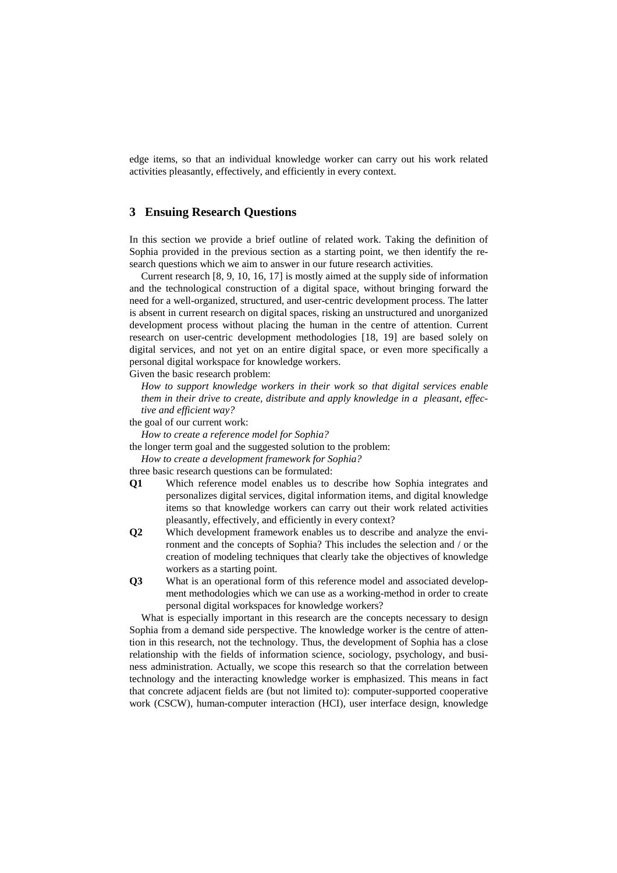edge items, so that an individual knowledge worker can carry out his work related activities pleasantly, effectively, and efficiently in every context.

### **3 Ensuing Research Questions**

In this section we provide a brief outline of related work. Taking the definition of Sophia provided in the previous section as a starting point, we then identify the research questions which we aim to answer in our future research activities.

Current research [8, 9, 10, 16, 17] is mostly aimed at the supply side of information and the technological construction of a digital space, without bringing forward the need for a well-organized, structured, and user-centric development process. The latter is absent in current research on digital spaces, risking an unstructured and unorganized development process without placing the human in the centre of attention. Current research on user-centric development methodologies [18, 19] are based solely on digital services, and not yet on an entire digital space, or even more specifically a personal digital workspace for knowledge workers.

Given the basic research problem:

*How to support knowledge workers in their work so that digital services enable them in their drive to create, distribute and apply knowledge in a pleasant, effective and efficient way?*

the goal of our current work:

*How to create a reference model for Sophia?*

the longer term goal and the suggested solution to the problem:

*How to create a development framework for Sophia?*

three basic research questions can be formulated:

- **Q1** Which reference model enables us to describe how Sophia integrates and personalizes digital services, digital information items, and digital knowledge items so that knowledge workers can carry out their work related activities pleasantly, effectively, and efficiently in every context?
- **Q2** Which development framework enables us to describe and analyze the environment and the concepts of Sophia? This includes the selection and / or the creation of modeling techniques that clearly take the objectives of knowledge workers as a starting point.
- **Q3** What is an operational form of this reference model and associated development methodologies which we can use as a working-method in order to create personal digital workspaces for knowledge workers?

What is especially important in this research are the concepts necessary to design Sophia from a demand side perspective. The knowledge worker is the centre of attention in this research, not the technology. Thus, the development of Sophia has a close relationship with the fields of information science, sociology, psychology, and business administration. Actually, we scope this research so that the correlation between technology and the interacting knowledge worker is emphasized. This means in fact that concrete adjacent fields are (but not limited to): computer-supported cooperative work (CSCW), human-computer interaction (HCI), user interface design, knowledge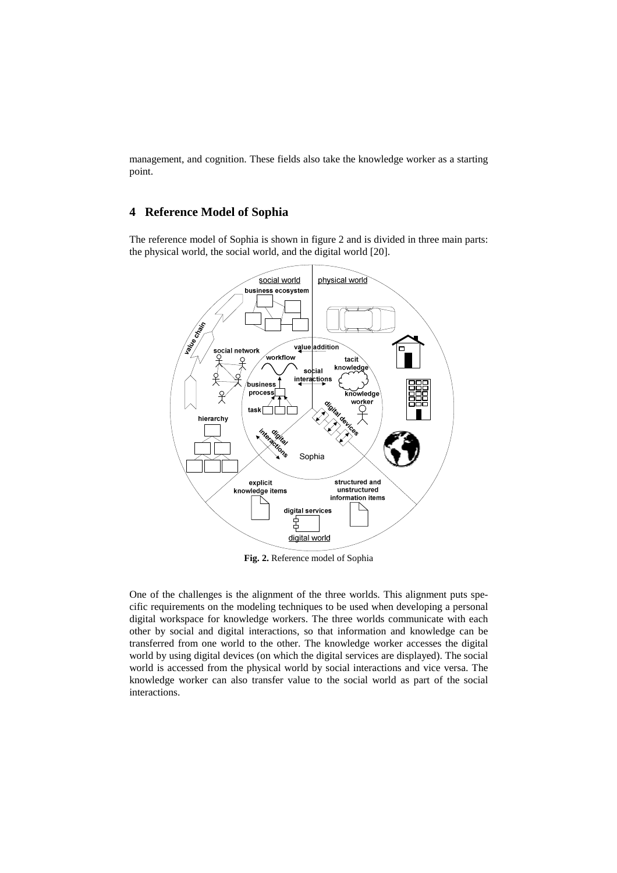management, and cognition. These fields also take the knowledge worker as a starting point.

### **4 Reference Model of Sophia**

The reference model of Sophia is shown in figure 2 and is divided in three main parts: the physical world, the social world, and the digital world [20].



**Fig. 2.** Reference model of Sophia

One of the challenges is the alignment of the three worlds. This alignment puts specific requirements on the modeling techniques to be used when developing a personal digital workspace for knowledge workers. The three worlds communicate with each other by social and digital interactions, so that information and knowledge can be transferred from one world to the other. The knowledge worker accesses the digital world by using digital devices (on which the digital services are displayed). The social world is accessed from the physical world by social interactions and vice versa. The knowledge worker can also transfer value to the social world as part of the social interactions.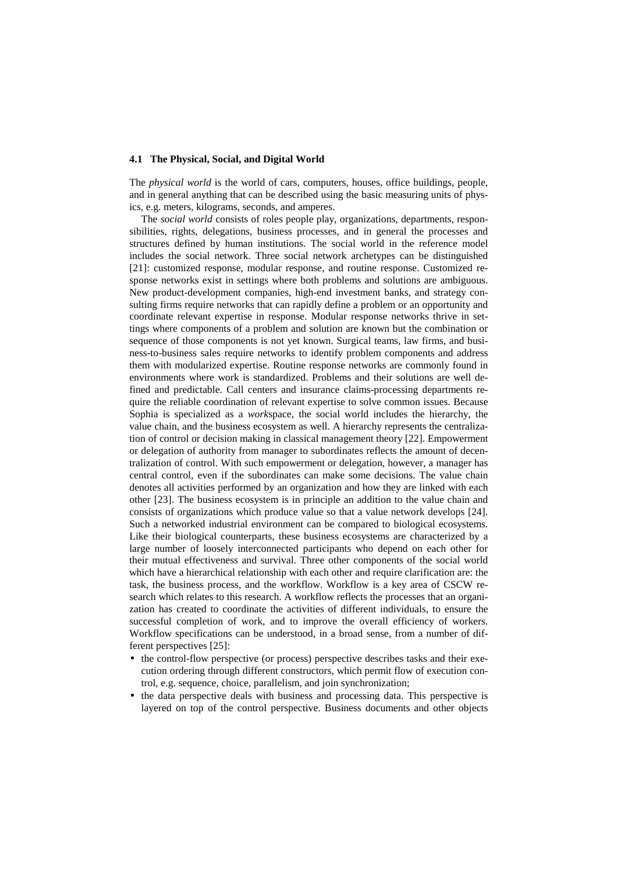#### **4.1 The Physical, Social, and Digital World**

The *physical world* is the world of cars, computers, houses, office buildings, people, and in general anything that can be described using the basic measuring units of physics, e.g. meters, kilograms, seconds, and amperes.

The *social world* consists of roles people play, organizations, departments, responsibilities, rights, delegations, business processes, and in general the processes and structures defined by human institutions. The social world in the reference model includes the social network. Three social network archetypes can be distinguished [21]: customized response, modular response, and routine response. Customized response networks exist in settings where both problems and solutions are ambiguous. New product-development companies, high-end investment banks, and strategy consulting firms require networks that can rapidly define a problem or an opportunity and coordinate relevant expertise in response. Modular response networks thrive in settings where components of a problem and solution are known but the combination or sequence of those components is not yet known. Surgical teams, law firms, and business-to-business sales require networks to identify problem components and address them with modularized expertise. Routine response networks are commonly found in environments where work is standardized. Problems and their solutions are well defined and predictable. Call centers and insurance claims-processing departments require the reliable coordination of relevant expertise to solve common issues. Because Sophia is specialized as a *work*space, the social world includes the hierarchy, the value chain, and the business ecosystem as well. A hierarchy represents the centralization of control or decision making in classical management theory [22]. Empowerment or delegation of authority from manager to subordinates reflects the amount of decentralization of control. With such empowerment or delegation, however, a manager has central control, even if the subordinates can make some decisions. The value chain denotes all activities performed by an organization and how they are linked with each other [23]. The business ecosystem is in principle an addition to the value chain and consists of organizations which produce value so that a value network develops [24]. Such a networked industrial environment can be compared to biological ecosystems. Like their biological counterparts, these business ecosystems are characterized by a large number of loosely interconnected participants who depend on each other for their mutual effectiveness and survival. Three other components of the social world which have a hierarchical relationship with each other and require clarification are: the task, the business process, and the workflow. Workflow is a key area of CSCW research which relates to this research. A workflow reflects the processes that an organization has created to coordinate the activities of different individuals, to ensure the successful completion of work, and to improve the overall efficiency of workers. Workflow specifications can be understood, in a broad sense, from a number of different perspectives [25]:

- the control-flow perspective (or process) perspective describes tasks and their execution ordering through different constructors, which permit flow of execution control, e.g. sequence, choice, parallelism, and join synchronization;
- the data perspective deals with business and processing data. This perspective is layered on top of the control perspective. Business documents and other objects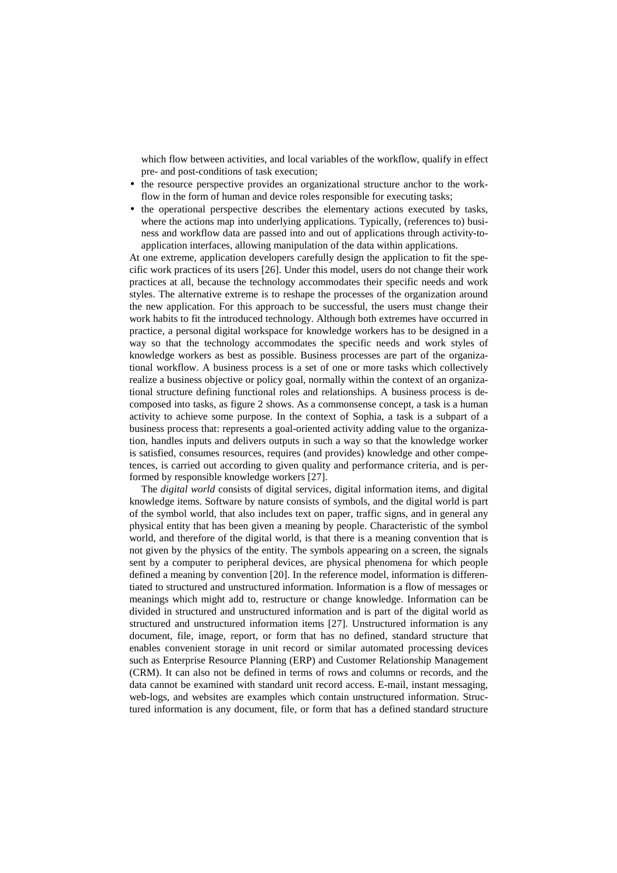which flow between activities, and local variables of the workflow, qualify in effect pre- and post-conditions of task execution;

- the resource perspective provides an organizational structure anchor to the workflow in the form of human and device roles responsible for executing tasks;
- the operational perspective describes the elementary actions executed by tasks, where the actions map into underlying applications. Typically, (references to) business and workflow data are passed into and out of applications through activity-toapplication interfaces, allowing manipulation of the data within applications.

At one extreme, application developers carefully design the application to fit the specific work practices of its users [26]. Under this model, users do not change their work practices at all, because the technology accommodates their specific needs and work styles. The alternative extreme is to reshape the processes of the organization around the new application. For this approach to be successful, the users must change their work habits to fit the introduced technology. Although both extremes have occurred in practice, a personal digital workspace for knowledge workers has to be designed in a way so that the technology accommodates the specific needs and work styles of knowledge workers as best as possible. Business processes are part of the organizational workflow. A business process is a set of one or more tasks which collectively realize a business objective or policy goal, normally within the context of an organizational structure defining functional roles and relationships. A business process is decomposed into tasks, as figure 2 shows. As a commonsense concept, a task is a human activity to achieve some purpose. In the context of Sophia, a task is a subpart of a business process that: represents a goal-oriented activity adding value to the organization, handles inputs and delivers outputs in such a way so that the knowledge worker is satisfied, consumes resources, requires (and provides) knowledge and other competences, is carried out according to given quality and performance criteria, and is performed by responsible knowledge workers [27].

The *digital world* consists of digital services, digital information items, and digital knowledge items. Software by nature consists of symbols, and the digital world is part of the symbol world, that also includes text on paper, traffic signs, and in general any physical entity that has been given a meaning by people. Characteristic of the symbol world, and therefore of the digital world, is that there is a meaning convention that is not given by the physics of the entity. The symbols appearing on a screen, the signals sent by a computer to peripheral devices, are physical phenomena for which people defined a meaning by convention [20]. In the reference model, information is differentiated to structured and unstructured information. Information is a flow of messages or meanings which might add to, restructure or change knowledge. Information can be divided in structured and unstructured information and is part of the digital world as structured and unstructured information items [27]. Unstructured information is any document, file, image, report, or form that has no defined, standard structure that enables convenient storage in unit record or similar automated processing devices such as Enterprise Resource Planning (ERP) and Customer Relationship Management (CRM). It can also not be defined in terms of rows and columns or records, and the data cannot be examined with standard unit record access. E-mail, instant messaging, web-logs, and websites are examples which contain unstructured information. Structured information is any document, file, or form that has a defined standard structure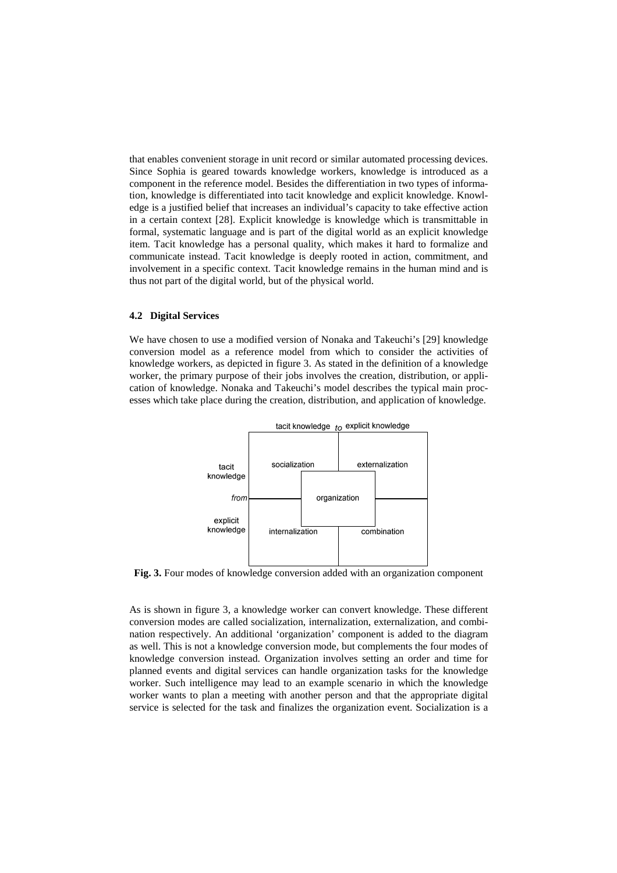that enables convenient storage in unit record or similar automated processing devices. Since Sophia is geared towards knowledge workers, knowledge is introduced as a component in the reference model. Besides the differentiation in two types of information, knowledge is differentiated into tacit knowledge and explicit knowledge. Knowledge is a justified belief that increases an individual's capacity to take effective action in a certain context [28]. Explicit knowledge is knowledge which is transmittable in formal, systematic language and is part of the digital world as an explicit knowledge item. Tacit knowledge has a personal quality, which makes it hard to formalize and communicate instead. Tacit knowledge is deeply rooted in action, commitment, and involvement in a specific context. Tacit knowledge remains in the human mind and is thus not part of the digital world, but of the physical world.

#### **4.2 Digital Services**

We have chosen to use a modified version of Nonaka and Takeuchi's [29] knowledge conversion model as a reference model from which to consider the activities of knowledge workers, as depicted in figure 3. As stated in the definition of a knowledge worker, the primary purpose of their jobs involves the creation, distribution, or application of knowledge. Nonaka and Takeuchi's model describes the typical main processes which take place during the creation, distribution, and application of knowledge.



**Fig. 3.** Four modes of knowledge conversion added with an organization component

As is shown in figure 3, a knowledge worker can convert knowledge. These different conversion modes are called socialization, internalization, externalization, and combination respectively. An additional 'organization' component is added to the diagram as well. This is not a knowledge conversion mode, but complements the four modes of knowledge conversion instead. Organization involves setting an order and time for planned events and digital services can handle organization tasks for the knowledge worker. Such intelligence may lead to an example scenario in which the knowledge worker wants to plan a meeting with another person and that the appropriate digital service is selected for the task and finalizes the organization event. Socialization is a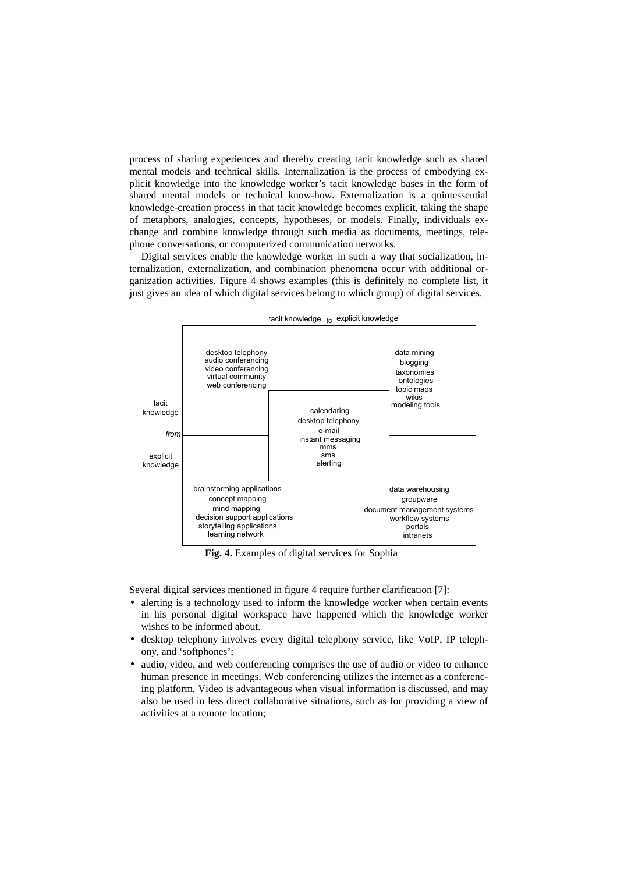process of sharing experiences and thereby creating tacit knowledge such as shared mental models and technical skills. Internalization is the process of embodying explicit knowledge into the knowledge worker's tacit knowledge bases in the form of shared mental models or technical know-how. Externalization is a quintessential knowledge-creation process in that tacit knowledge becomes explicit, taking the shape of metaphors, analogies, concepts, hypotheses, or models. Finally, individuals exchange and combine knowledge through such media as documents, meetings, telephone conversations, or computerized communication networks.

Digital services enable the knowledge worker in such a way that socialization, internalization, externalization, and combination phenomena occur with additional organization activities. Figure 4 shows examples (this is definitely no complete list, it just gives an idea of which digital services belong to which group) of digital services.



**Fig. 4.** Examples of digital services for Sophia

Several digital services mentioned in figure 4 require further clarification [7]:

- alerting is a technology used to inform the knowledge worker when certain events in his personal digital workspace have happened which the knowledge worker wishes to be informed about.
- desktop telephony involves every digital telephony service, like VoIP, IP telephony, and 'softphones';
- audio, video, and web conferencing comprises the use of audio or video to enhance human presence in meetings. Web conferencing utilizes the internet as a conferencing platform. Video is advantageous when visual information is discussed, and may also be used in less direct collaborative situations, such as for providing a view of activities at a remote location;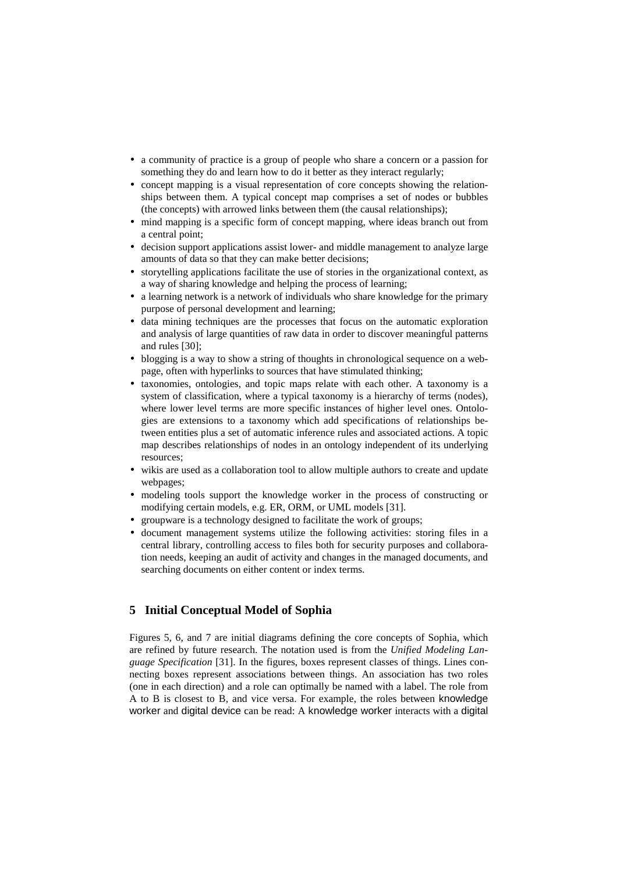- a community of practice is a group of people who share a concern or a passion for something they do and learn how to do it better as they interact regularly;
- concept mapping is a visual representation of core concepts showing the relationships between them. A typical concept map comprises a set of nodes or bubbles (the concepts) with arrowed links between them (the causal relationships);
- mind mapping is a specific form of concept mapping, where ideas branch out from a central point;
- decision support applications assist lower- and middle management to analyze large amounts of data so that they can make better decisions;
- storytelling applications facilitate the use of stories in the organizational context, as a way of sharing knowledge and helping the process of learning;
- a learning network is a network of individuals who share knowledge for the primary purpose of personal development and learning;
- data mining techniques are the processes that focus on the automatic exploration and analysis of large quantities of raw data in order to discover meaningful patterns and rules [30];
- blogging is a way to show a string of thoughts in chronological sequence on a webpage, often with hyperlinks to sources that have stimulated thinking;
- taxonomies, ontologies, and topic maps relate with each other. A taxonomy is a system of classification, where a typical taxonomy is a hierarchy of terms (nodes), where lower level terms are more specific instances of higher level ones. Ontologies are extensions to a taxonomy which add specifications of relationships between entities plus a set of automatic inference rules and associated actions. A topic map describes relationships of nodes in an ontology independent of its underlying resources;
- wikis are used as a collaboration tool to allow multiple authors to create and update webpages;
- modeling tools support the knowledge worker in the process of constructing or modifying certain models, e.g. ER, ORM, or UML models [31].
- groupware is a technology designed to facilitate the work of groups;
- document management systems utilize the following activities: storing files in a central library, controlling access to files both for security purposes and collaboration needs, keeping an audit of activity and changes in the managed documents, and searching documents on either content or index terms.

# **5 Initial Conceptual Model of Sophia**

Figures 5, 6, and 7 are initial diagrams defining the core concepts of Sophia, which are refined by future research. The notation used is from the *Unified Modeling Language Specification* [31]. In the figures, boxes represent classes of things. Lines connecting boxes represent associations between things. An association has two roles (one in each direction) and a role can optimally be named with a label. The role from A to B is closest to B, and vice versa. For example, the roles between knowledge worker and digital device can be read: A knowledge worker interacts with a digital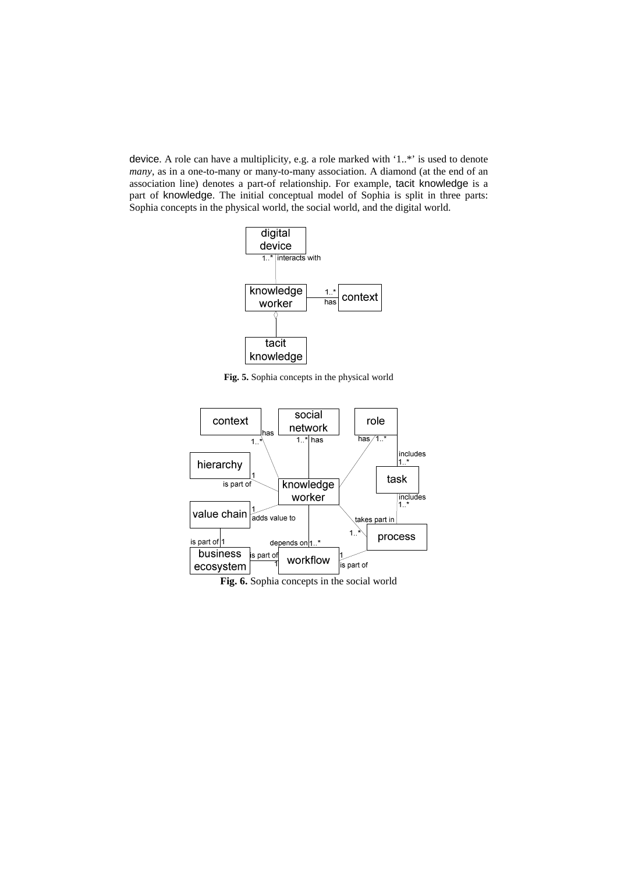device. A role can have a multiplicity, e.g. a role marked with '1..\*' is used to denote *many*, as in a one-to-many or many-to-many association. A diamond (at the end of an association line) denotes a part-of relationship. For example, tacit knowledge is a part of knowledge. The initial conceptual model of Sophia is split in three parts: Sophia concepts in the physical world, the social world, and the digital world.



**Fig. 5.** Sophia concepts in the physical world

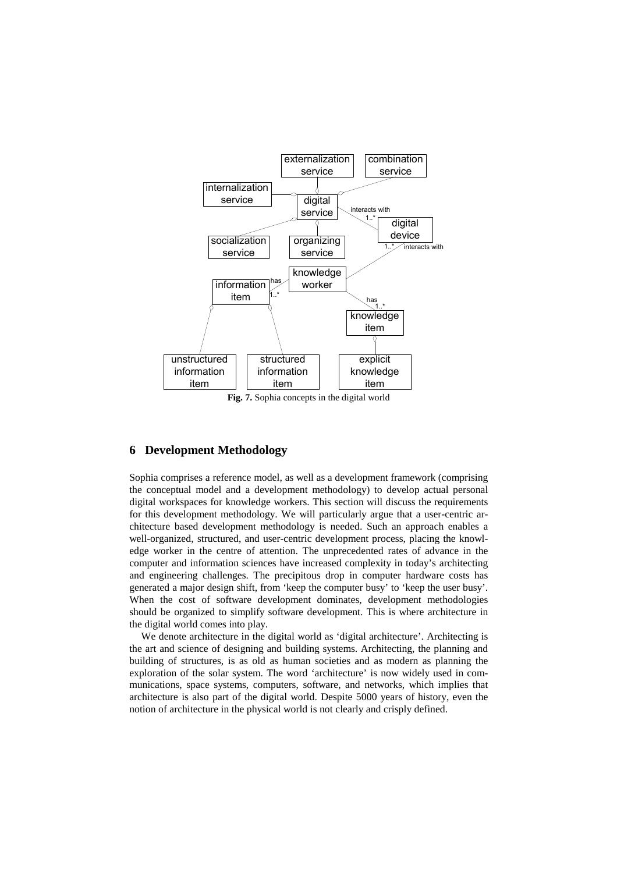

**Fig. 7.** Sophia concepts in the digital world

### **6 Development Methodology**

Sophia comprises a reference model, as well as a development framework (comprising the conceptual model and a development methodology) to develop actual personal digital workspaces for knowledge workers. This section will discuss the requirements for this development methodology. We will particularly argue that a user-centric architecture based development methodology is needed. Such an approach enables a well-organized, structured, and user-centric development process, placing the knowledge worker in the centre of attention. The unprecedented rates of advance in the computer and information sciences have increased complexity in today's architecting and engineering challenges. The precipitous drop in computer hardware costs has generated a major design shift, from 'keep the computer busy' to 'keep the user busy'. When the cost of software development dominates, development methodologies should be organized to simplify software development. This is where architecture in the digital world comes into play.

We denote architecture in the digital world as 'digital architecture'. Architecting is the art and science of designing and building systems. Architecting, the planning and building of structures, is as old as human societies and as modern as planning the exploration of the solar system. The word 'architecture' is now widely used in communications, space systems, computers, software, and networks, which implies that architecture is also part of the digital world. Despite 5000 years of history, even the notion of architecture in the physical world is not clearly and crisply defined.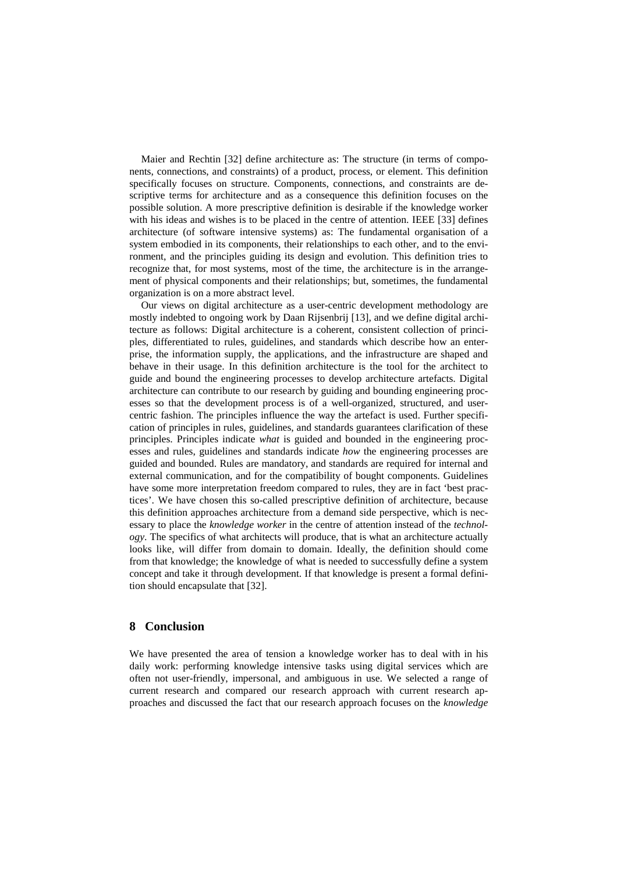Maier and Rechtin [32] define architecture as: The structure (in terms of components, connections, and constraints) of a product, process, or element. This definition specifically focuses on structure. Components, connections, and constraints are descriptive terms for architecture and as a consequence this definition focuses on the possible solution. A more prescriptive definition is desirable if the knowledge worker with his ideas and wishes is to be placed in the centre of attention. IEEE [33] defines architecture (of software intensive systems) as: The fundamental organisation of a system embodied in its components, their relationships to each other, and to the environment, and the principles guiding its design and evolution. This definition tries to recognize that, for most systems, most of the time, the architecture is in the arrangement of physical components and their relationships; but, sometimes, the fundamental organization is on a more abstract level.

Our views on digital architecture as a user-centric development methodology are mostly indebted to ongoing work by Daan Rijsenbrij [13], and we define digital architecture as follows: Digital architecture is a coherent, consistent collection of principles, differentiated to rules, guidelines, and standards which describe how an enterprise, the information supply, the applications, and the infrastructure are shaped and behave in their usage. In this definition architecture is the tool for the architect to guide and bound the engineering processes to develop architecture artefacts. Digital architecture can contribute to our research by guiding and bounding engineering processes so that the development process is of a well-organized, structured, and usercentric fashion. The principles influence the way the artefact is used. Further specification of principles in rules, guidelines, and standards guarantees clarification of these principles. Principles indicate *what* is guided and bounded in the engineering processes and rules, guidelines and standards indicate *how* the engineering processes are guided and bounded. Rules are mandatory, and standards are required for internal and external communication, and for the compatibility of bought components. Guidelines have some more interpretation freedom compared to rules, they are in fact 'best practices'. We have chosen this so-called prescriptive definition of architecture, because this definition approaches architecture from a demand side perspective, which is necessary to place the *knowledge worker* in the centre of attention instead of the *technology*. The specifics of what architects will produce, that is what an architecture actually looks like, will differ from domain to domain. Ideally, the definition should come from that knowledge; the knowledge of what is needed to successfully define a system concept and take it through development. If that knowledge is present a formal definition should encapsulate that [32].

### **8 Conclusion**

We have presented the area of tension a knowledge worker has to deal with in his daily work: performing knowledge intensive tasks using digital services which are often not user-friendly, impersonal, and ambiguous in use. We selected a range of current research and compared our research approach with current research approaches and discussed the fact that our research approach focuses on the *knowledge*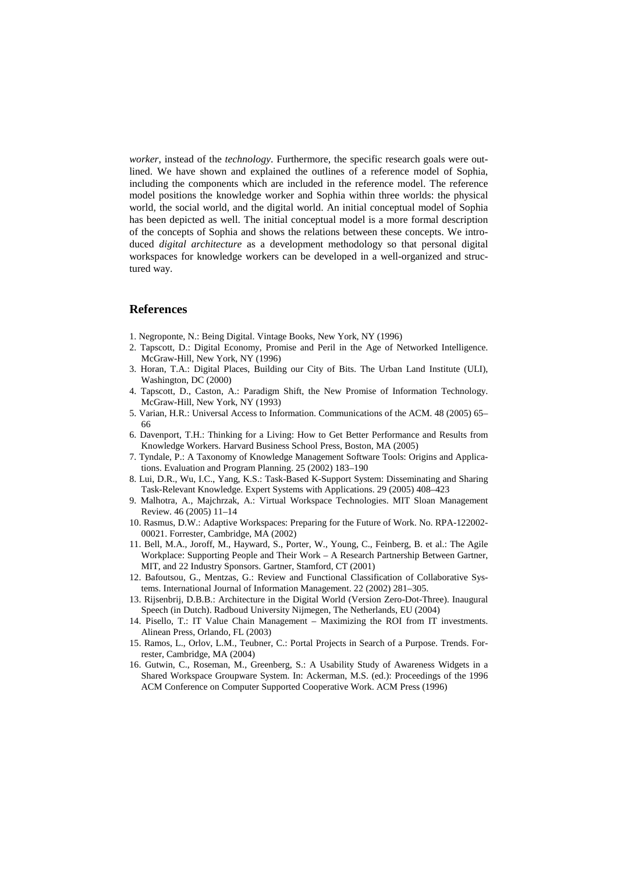*worker*, instead of the *technology*. Furthermore, the specific research goals were outlined. We have shown and explained the outlines of a reference model of Sophia, including the components which are included in the reference model. The reference model positions the knowledge worker and Sophia within three worlds: the physical world, the social world, and the digital world. An initial conceptual model of Sophia has been depicted as well. The initial conceptual model is a more formal description of the concepts of Sophia and shows the relations between these concepts. We introduced *digital architecture* as a development methodology so that personal digital workspaces for knowledge workers can be developed in a well-organized and structured way.

### **References**

- 1. Negroponte, N.: Being Digital. Vintage Books, New York, NY (1996)
- 2. Tapscott, D.: Digital Economy, Promise and Peril in the Age of Networked Intelligence. McGraw-Hill, New York, NY (1996)
- 3. Horan, T.A.: Digital Places, Building our City of Bits. The Urban Land Institute (ULI), Washington, DC (2000)
- 4. Tapscott, D., Caston, A.: Paradigm Shift, the New Promise of Information Technology. McGraw-Hill, New York, NY (1993)
- 5. Varian, H.R.: Universal Access to Information. Communications of the ACM. 48 (2005) 65– 66
- 6. Davenport, T.H.: Thinking for a Living: How to Get Better Performance and Results from Knowledge Workers. Harvard Business School Press, Boston, MA (2005)
- 7. Tyndale, P.: A Taxonomy of Knowledge Management Software Tools: Origins and Applications. Evaluation and Program Planning. 25 (2002) 183–190
- 8. Lui, D.R., Wu, I.C., Yang, K.S.: Task-Based K-Support System: Disseminating and Sharing Task-Relevant Knowledge. Expert Systems with Applications. 29 (2005) 408–423
- 9. Malhotra, A., Majchrzak, A.: Virtual Workspace Technologies. MIT Sloan Management Review. 46 (2005) 11–14
- 10. Rasmus, D.W.: Adaptive Workspaces: Preparing for the Future of Work. No. RPA-122002- 00021. Forrester, Cambridge, MA (2002)
- 11. Bell, M.A., Joroff, M., Hayward, S., Porter, W., Young, C., Feinberg, B. et al.: The Agile Workplace: Supporting People and Their Work – A Research Partnership Between Gartner, MIT, and 22 Industry Sponsors. Gartner, Stamford, CT (2001)
- 12. Bafoutsou, G., Mentzas, G.: Review and Functional Classification of Collaborative Systems. International Journal of Information Management. 22 (2002) 281–305.
- 13. Rijsenbrij, D.B.B.: Architecture in the Digital World (Version Zero-Dot-Three). Inaugural Speech (in Dutch). Radboud University Nijmegen, The Netherlands, EU (2004)
- 14. Pisello, T.: IT Value Chain Management Maximizing the ROI from IT investments. Alinean Press, Orlando, FL (2003)
- 15. Ramos, L., Orlov, L.M., Teubner, C.: Portal Projects in Search of a Purpose. Trends. Forrester, Cambridge, MA (2004)
- 16. Gutwin, C., Roseman, M., Greenberg, S.: A Usability Study of Awareness Widgets in a Shared Workspace Groupware System. In: Ackerman, M.S. (ed.): Proceedings of the 1996 ACM Conference on Computer Supported Cooperative Work. ACM Press (1996)